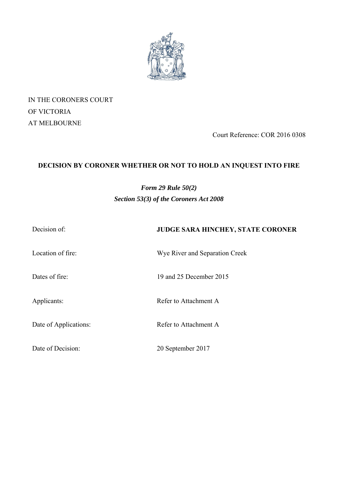

IN THE CORONERS COURT OF VICTORIA AT MELBOURNE

Court Reference: COR 2016 0308

# **DECISION BY CORONER WHETHER OR NOT TO HOLD AN INQUEST INTO FIRE**

# *Form 29 Rule 50(2) Section 53(3) of the Coroners Act 2008*

| Decision of: |  |  |
|--------------|--|--|
|              |  |  |

Location of fire: Wye River and Separation Creek

**JUDGE SARA HINCHEY, STATE CORONER** 

Dates of fire: 19 and 25 December 2015

Applicants: Refer to Attachment A

Date of Applications: Refer to Attachment A

Date of Decision: 20 September 2017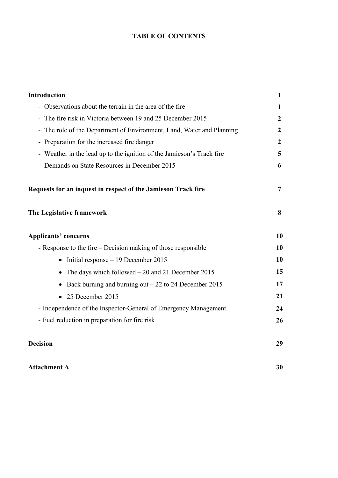# **TABLE OF CONTENTS**

| <b>Introduction</b>                                                                                                                                                                                                                                                         | 1         |                                                               |   |
|-----------------------------------------------------------------------------------------------------------------------------------------------------------------------------------------------------------------------------------------------------------------------------|-----------|---------------------------------------------------------------|---|
| - Observations about the terrain in the area of the fire                                                                                                                                                                                                                    |           |                                                               |   |
| - The fire risk in Victoria between 19 and 25 December 2015<br>The role of the Department of Environment, Land, Water and Planning<br>$\frac{1}{2}$<br>- Preparation for the increased fire danger<br>- Weather in the lead up to the ignition of the Jamieson's Track fire |           |                                                               |   |
|                                                                                                                                                                                                                                                                             |           | - Demands on State Resources in December 2015                 | 6 |
|                                                                                                                                                                                                                                                                             |           | Requests for an inquest in respect of the Jamieson Track fire | 7 |
|                                                                                                                                                                                                                                                                             |           | The Legislative framework                                     | 8 |
| <b>Applicants' concerns</b>                                                                                                                                                                                                                                                 | 10        |                                                               |   |
| - Response to the fire – Decision making of those responsible                                                                                                                                                                                                               | <b>10</b> |                                                               |   |
| $\bullet$ Initial response – 19 December 2015                                                                                                                                                                                                                               | 10        |                                                               |   |
| The days which followed $-20$ and 21 December 2015                                                                                                                                                                                                                          | 15        |                                                               |   |
| Back burning and burning out $-22$ to 24 December 2015<br>$\bullet$                                                                                                                                                                                                         | 17        |                                                               |   |
| • 25 December 2015                                                                                                                                                                                                                                                          | 21        |                                                               |   |
| - Independence of the Inspector-General of Emergency Management                                                                                                                                                                                                             | 24        |                                                               |   |
| - Fuel reduction in preparation for fire risk                                                                                                                                                                                                                               | 26        |                                                               |   |
| <b>Decision</b>                                                                                                                                                                                                                                                             | 29        |                                                               |   |

# Attachment A 30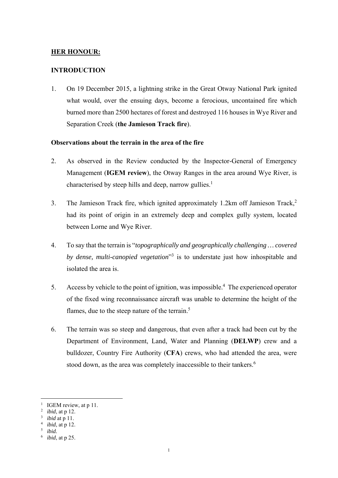# **HER HONOUR:**

## **INTRODUCTION**

1. On 19 December 2015, a lightning strike in the Great Otway National Park ignited what would, over the ensuing days, become a ferocious, uncontained fire which burned more than 2500 hectares of forest and destroyed 116 houses in Wye River and Separation Creek (**the Jamieson Track fire**).

#### **Observations about the terrain in the area of the fire**

- 2. As observed in the Review conducted by the Inspector-General of Emergency Management (**IGEM review**), the Otway Ranges in the area around Wye River, is characterised by steep hills and deep, narrow gullies.<sup>1</sup>
- 3. The Jamieson Track fire, which ignited approximately 1.2km off Jamieson Track,2 had its point of origin in an extremely deep and complex gully system, located between Lorne and Wye River.
- 4. To say that the terrain is "*topographically and geographically challenging … covered*  by *dense, multi-canopied vegetation*<sup>3</sup> is to understate just how inhospitable and isolated the area is.
- 5. Access by vehicle to the point of ignition, was impossible.<sup>4</sup> The experienced operator of the fixed wing reconnaissance aircraft was unable to determine the height of the flames, due to the steep nature of the terrain.<sup>5</sup>
- 6. The terrain was so steep and dangerous, that even after a track had been cut by the Department of Environment, Land, Water and Planning (**DELWP**) crew and a bulldozer, Country Fire Authority (**CFA**) crews, who had attended the area, were stood down, as the area was completely inaccessible to their tankers.<sup>6</sup>

<sup>&</sup>lt;sup>1</sup> IGEM review, at p 11.

<sup>2</sup> *ibid*, at p 12.

<sup>3</sup> *ibid* at p 11.

*ibid*, at p 12.

*ibid.*

<sup>6</sup> *ibid*, at p 25.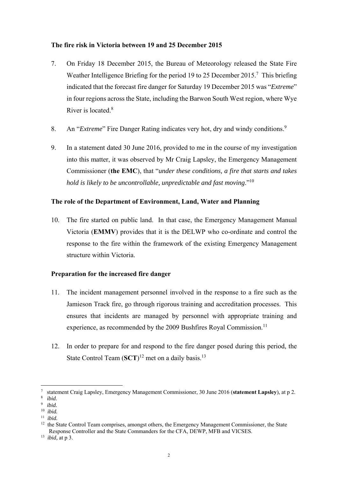## **The fire risk in Victoria between 19 and 25 December 2015**

- 7. On Friday 18 December 2015, the Bureau of Meteorology released the State Fire Weather Intelligence Briefing for the period 19 to 25 December 2015.<sup>7</sup> This briefing indicated that the forecast fire danger for Saturday 19 December 2015 was "*Extreme*" in four regions across the State, including the Barwon South West region, where Wye River is located  $8$
- 8. An "*Extreme*" Fire Danger Rating indicates very hot, dry and windy conditions.<sup>9</sup>
- 9. In a statement dated 30 June 2016, provided to me in the course of my investigation into this matter, it was observed by Mr Craig Lapsley, the Emergency Management Commissioner (**the EMC**), that "*under these conditions, a fire that starts and takes hold is likely to be uncontrollable, unpredictable and fast moving*."10

# **The role of the Department of Environment, Land, Water and Planning**

10. The fire started on public land. In that case, the Emergency Management Manual Victoria (**EMMV**) provides that it is the DELWP who co-ordinate and control the response to the fire within the framework of the existing Emergency Management structure within Victoria.

# **Preparation for the increased fire danger**

- 11. The incident management personnel involved in the response to a fire such as the Jamieson Track fire, go through rigorous training and accreditation processes. This ensures that incidents are managed by personnel with appropriate training and experience, as recommended by the 2009 Bushfires Royal Commission.<sup>11</sup>
- 12. In order to prepare for and respond to the fire danger posed during this period, the State Control Team (SCT)<sup>12</sup> met on a daily basis.<sup>13</sup>

<sup>7</sup> statement Craig Lapsley, Emergency Management Commissioner, 30 June 2016 (**statement Lapsley**), at p 2.

<sup>8</sup> *ibid.*

<sup>9</sup> *ibid.*

<sup>10</sup> *ibid.*

<sup>11</sup> *ibid.*

<sup>&</sup>lt;sup>12</sup> the State Control Team comprises, amongst others, the Emergency Management Commissioner, the State Response Controller and the State Commanders for the CFA, DEWP, MFB and VICSES.

<sup>13</sup> *ibid,* at p 3.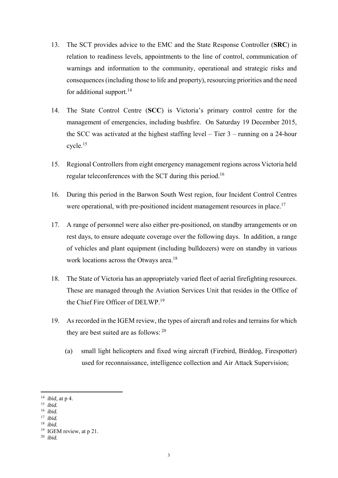- 13. The SCT provides advice to the EMC and the State Response Controller (**SRC**) in relation to readiness levels, appointments to the line of control, communication of warnings and information to the community, operational and strategic risks and consequences (including those to life and property), resourcing priorities and the need for additional support.<sup>14</sup>
- 14. The State Control Centre (**SCC**) is Victoria's primary control centre for the management of emergencies, including bushfire. On Saturday 19 December 2015, the SCC was activated at the highest staffing level – Tier 3 – running on a 24-hour  $cycle.<sup>15</sup>$
- 15. Regional Controllers from eight emergency management regions across Victoria held regular teleconferences with the SCT during this period.16
- 16. During this period in the Barwon South West region, four Incident Control Centres were operational, with pre-positioned incident management resources in place.<sup>17</sup>
- 17. A range of personnel were also either pre-positioned, on standby arrangements or on rest days, to ensure adequate coverage over the following days. In addition, a range of vehicles and plant equipment (including bulldozers) were on standby in various work locations across the Otways area.<sup>18</sup>
- 18. The State of Victoria has an appropriately varied fleet of aerial firefighting resources. These are managed through the Aviation Services Unit that resides in the Office of the Chief Fire Officer of DELWP<sup>19</sup>
- 19. As recorded in the IGEM review, the types of aircraft and roles and terrains for which they are best suited are as follows:  $20$ 
	- (a) small light helicopters and fixed wing aircraft (Firebird, Birddog, Firespotter) used for reconnaissance, intelligence collection and Air Attack Supervision;

<sup>14</sup> *ibid,* at p 4.

<sup>15</sup> *ibid.* 

<sup>16</sup> *ibid.*

<sup>17</sup> *ibid.*

<sup>18</sup> *ibid.*

<sup>&</sup>lt;sup>19</sup> IGEM review, at p 21.

<sup>20</sup> *ibid.*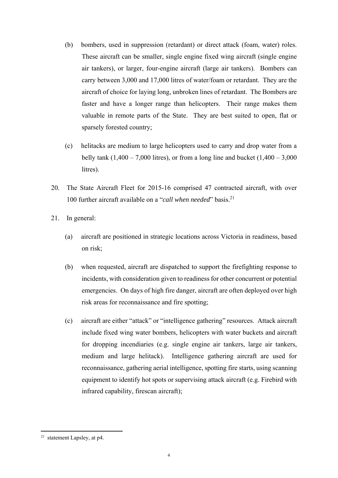- (b) bombers, used in suppression (retardant) or direct attack (foam, water) roles. These aircraft can be smaller, single engine fixed wing aircraft (single engine air tankers), or larger, four-engine aircraft (large air tankers). Bombers can carry between 3,000 and 17,000 litres of water/foam or retardant. They are the aircraft of choice for laying long, unbroken lines of retardant. The Bombers are faster and have a longer range than helicopters. Their range makes them valuable in remote parts of the State. They are best suited to open, flat or sparsely forested country;
- (c) helitacks are medium to large helicopters used to carry and drop water from a belly tank  $(1,400 - 7,000$  litres), or from a long line and bucket  $(1,400 - 3,000)$ litres).
- 20. The State Aircraft Fleet for 2015-16 comprised 47 contracted aircraft, with over 100 further aircraft available on a "*call when needed*" basis.21
- 21. In general:
	- (a) aircraft are positioned in strategic locations across Victoria in readiness, based on risk;
	- (b) when requested, aircraft are dispatched to support the firefighting response to incidents, with consideration given to readiness for other concurrent or potential emergencies. On days of high fire danger, aircraft are often deployed over high risk areas for reconnaissance and fire spotting;
	- (c) aircraft are either "attack" or "intelligence gathering" resources. Attack aircraft include fixed wing water bombers, helicopters with water buckets and aircraft for dropping incendiaries (e.g. single engine air tankers, large air tankers, medium and large helitack). Intelligence gathering aircraft are used for reconnaissance, gathering aerial intelligence, spotting fire starts, using scanning equipment to identify hot spots or supervising attack aircraft (e.g. Firebird with infrared capability, firescan aircraft);

 $21$  statement Lapsley, at p4.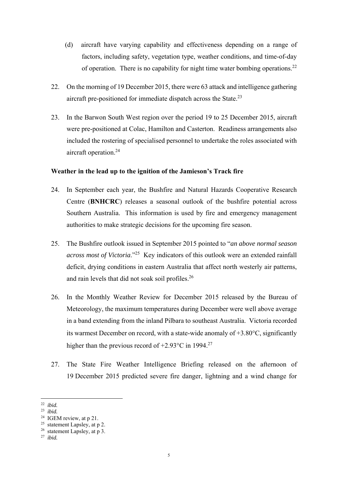- (d) aircraft have varying capability and effectiveness depending on a range of factors, including safety, vegetation type, weather conditions, and time-of-day of operation. There is no capability for night time water bombing operations.22
- 22. On the morning of 19 December 2015, there were 63 attack and intelligence gathering aircraft pre-positioned for immediate dispatch across the State.<sup>23</sup>
- 23. In the Barwon South West region over the period 19 to 25 December 2015, aircraft were pre-positioned at Colac, Hamilton and Casterton. Readiness arrangements also included the rostering of specialised personnel to undertake the roles associated with aircraft operation.24

#### **Weather in the lead up to the ignition of the Jamieson's Track fire**

- 24. In September each year, the Bushfire and Natural Hazards Cooperative Research Centre (**BNHCRC**) releases a seasonal outlook of the bushfire potential across Southern Australia. This information is used by fire and emergency management authorities to make strategic decisions for the upcoming fire season.
- 25. The Bushfire outlook issued in September 2015 pointed to "*an above normal season across most of Victoria*."25 Key indicators of this outlook were an extended rainfall deficit, drying conditions in eastern Australia that affect north westerly air patterns, and rain levels that did not soak soil profiles.26
- 26. In the Monthly Weather Review for December 2015 released by the Bureau of Meteorology, the maximum temperatures during December were well above average in a band extending from the inland Pilbara to southeast Australia. Victoria recorded its warmest December on record, with a state-wide anomaly of  $+3.80^{\circ}$ C, significantly higher than the previous record of  $+2.93^{\circ}$ C in 1994.<sup>27</sup>
- 27. The State Fire Weather Intelligence Briefing released on the afternoon of 19 December 2015 predicted severe fire danger, lightning and a wind change for

 22 *ibid.*

<sup>23</sup> *ibid.*

<sup>&</sup>lt;sup>24</sup> IGEM review, at p 21.

 $25$  statement Lapsley, at p 2.

<sup>26</sup> statement Lapsley, at p 3.

<sup>27</sup> *ibid.*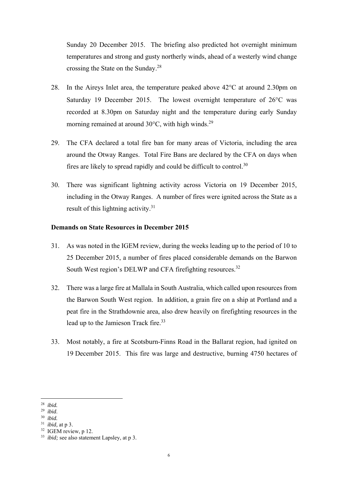Sunday 20 December 2015. The briefing also predicted hot overnight minimum temperatures and strong and gusty northerly winds, ahead of a westerly wind change crossing the State on the Sunday.28

- 28. In the Aireys Inlet area, the temperature peaked above  $42^{\circ}$ C at around 2.30pm on Saturday 19 December 2015. The lowest overnight temperature of  $26^{\circ}$ C was recorded at 8.30pm on Saturday night and the temperature during early Sunday morning remained at around  $30^{\circ}$ C, with high winds.<sup>29</sup>
- 29. The CFA declared a total fire ban for many areas of Victoria, including the area around the Otway Ranges. Total Fire Bans are declared by the CFA on days when fires are likely to spread rapidly and could be difficult to control.30
- 30. There was significant lightning activity across Victoria on 19 December 2015, including in the Otway Ranges. A number of fires were ignited across the State as a result of this lightning activity.<sup>31</sup>

### **Demands on State Resources in December 2015**

- 31. As was noted in the IGEM review, during the weeks leading up to the period of 10 to 25 December 2015, a number of fires placed considerable demands on the Barwon South West region's DELWP and CFA firefighting resources.<sup>32</sup>
- 32. There was a large fire at Mallala in South Australia, which called upon resources from the Barwon South West region. In addition, a grain fire on a ship at Portland and a peat fire in the Strathdownie area, also drew heavily on firefighting resources in the lead up to the Jamieson Track fire.<sup>33</sup>
- 33. Most notably, a fire at Scotsburn-Finns Road in the Ballarat region, had ignited on 19 December 2015. This fire was large and destructive, burning 4750 hectares of

<sup>28</sup> *ibid.*

<sup>29</sup> *ibid*. 30 *ibid.*

<sup>31</sup> *ibid,* at p 3.

<sup>&</sup>lt;sup>32</sup> IGEM review, p 12.

<sup>33</sup> *ibid;* see also statement Lapsley, at p 3.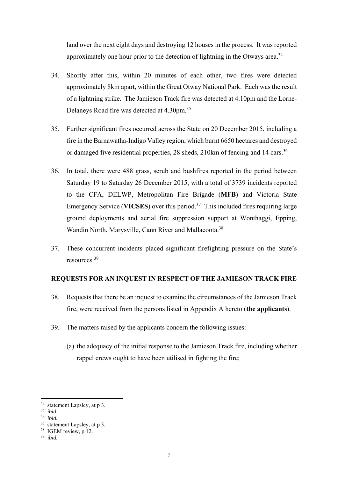land over the next eight days and destroying 12 houses in the process. It was reported approximately one hour prior to the detection of lightning in the Otwavs area.<sup>34</sup>

- 34. Shortly after this, within 20 minutes of each other, two fires were detected approximately 8km apart, within the Great Otway National Park. Each was the result of a lightning strike. The Jamieson Track fire was detected at 4.10pm and the Lorne-Delaneys Road fire was detected at 4.30pm.35
- 35. Further significant fires occurred across the State on 20 December 2015, including a fire in the Barnawatha-Indigo Valley region, which burnt 6650 hectares and destroyed or damaged five residential properties, 28 sheds, 210km of fencing and 14 cars.<sup>36</sup>
- 36. In total, there were 488 grass, scrub and bushfires reported in the period between Saturday 19 to Saturday 26 December 2015, with a total of 3739 incidents reported to the CFA, DELWP, Metropolitan Fire Brigade (**MFB**) and Victoria State Emergency Service (**VICSES**) over this period.37 This included fires requiring large ground deployments and aerial fire suppression support at Wonthaggi, Epping, Wandin North, Marysville, Cann River and Mallacoota.<sup>38</sup>
- 37. These concurrent incidents placed significant firefighting pressure on the State's resources<sup>39</sup>

## **REQUESTS FOR AN INQUEST IN RESPECT OF THE JAMIESON TRACK FIRE**

- 38. Requests that there be an inquest to examine the circumstances of the Jamieson Track fire, were received from the persons listed in Appendix A hereto (**the applicants**).
- 39. The matters raised by the applicants concern the following issues:
	- (a) the adequacy of the initial response to the Jamieson Track fire, including whether rappel crews ought to have been utilised in fighting the fire;

<sup>34</sup> statement Lapsley, at p 3.

<sup>35</sup> *ibid.*

<sup>36</sup> *ibid.*

<sup>37</sup> statement Lapsley, at p 3.

<sup>&</sup>lt;sup>38</sup> IGEM review, p 12.

<sup>39</sup> *ibid.*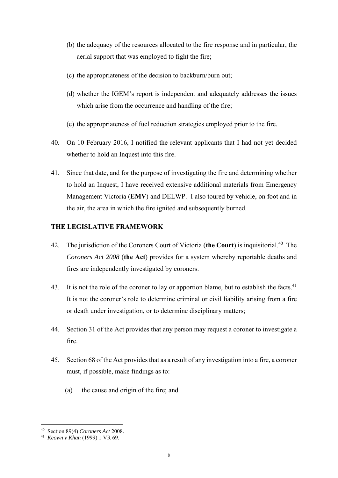- (b) the adequacy of the resources allocated to the fire response and in particular, the aerial support that was employed to fight the fire;
- (c) the appropriateness of the decision to backburn/burn out;
- (d) whether the IGEM's report is independent and adequately addresses the issues which arise from the occurrence and handling of the fire;
- (e) the appropriateness of fuel reduction strategies employed prior to the fire.
- 40. On 10 February 2016, I notified the relevant applicants that I had not yet decided whether to hold an Inquest into this fire.
- 41. Since that date, and for the purpose of investigating the fire and determining whether to hold an Inquest, I have received extensive additional materials from Emergency Management Victoria (**EMV**) and DELWP. I also toured by vehicle, on foot and in the air, the area in which the fire ignited and subsequently burned.

# **THE LEGISLATIVE FRAMEWORK**

- 42. The jurisdiction of the Coroners Court of Victoria (the Court) is inquisitorial.<sup>40</sup> The *Coroners Act 2008* (**the Act**) provides for a system whereby reportable deaths and fires are independently investigated by coroners.
- 43. It is not the role of the coroner to lay or apportion blame, but to establish the facts.<sup>41</sup> It is not the coroner's role to determine criminal or civil liability arising from a fire or death under investigation, or to determine disciplinary matters;
- 44. Section 31 of the Act provides that any person may request a coroner to investigate a fire.
- 45. Section 68 of the Act provides that as a result of any investigation into a fire, a coroner must, if possible, make findings as to:
	- (a) the cause and origin of the fire; and

 40 Section 89(4) *Coroners Act* 2008*.*

<sup>41</sup> *Keown v Khan* (1999) 1 VR 69.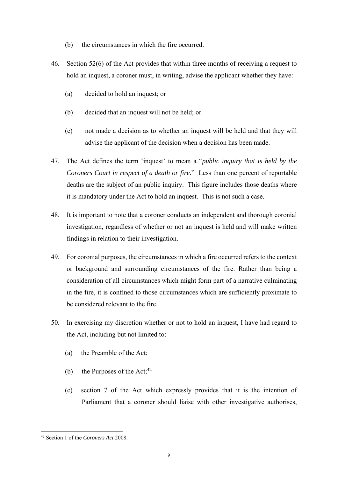- (b) the circumstances in which the fire occurred.
- 46. Section 52(6) of the Act provides that within three months of receiving a request to hold an inquest, a coroner must, in writing, advise the applicant whether they have:
	- (a) decided to hold an inquest; or
	- (b) decided that an inquest will not be held; or
	- (c) not made a decision as to whether an inquest will be held and that they will advise the applicant of the decision when a decision has been made.
- 47. The Act defines the term 'inquest' to mean a "*public inquiry that is held by the Coroners Court in respect of a death or fire.*" Less than one percent of reportable deaths are the subject of an public inquiry. This figure includes those deaths where it is mandatory under the Act to hold an inquest. This is not such a case.
- 48. It is important to note that a coroner conducts an independent and thorough coronial investigation, regardless of whether or not an inquest is held and will make written findings in relation to their investigation.
- 49. For coronial purposes, the circumstances in which a fire occurred refers to the context or background and surrounding circumstances of the fire. Rather than being a consideration of all circumstances which might form part of a narrative culminating in the fire, it is confined to those circumstances which are sufficiently proximate to be considered relevant to the fire.
- 50. In exercising my discretion whether or not to hold an inquest, I have had regard to the Act, including but not limited to:
	- (a) the Preamble of the Act;
	- (b) the Purposes of the Act; $42$
	- (c) section 7 of the Act which expressly provides that it is the intention of Parliament that a coroner should liaise with other investigative authorises,

 42 Section 1 of the *Coroners Act* 2008.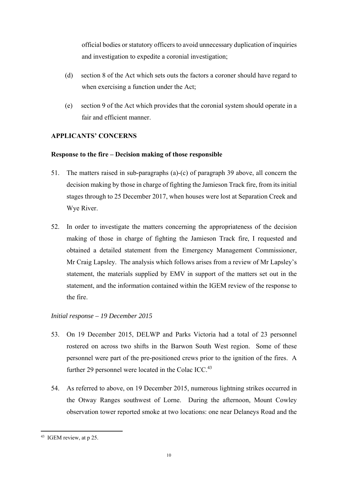official bodies or statutory officers to avoid unnecessary duplication of inquiries and investigation to expedite a coronial investigation;

- (d) section 8 of the Act which sets outs the factors a coroner should have regard to when exercising a function under the Act;
- (e) section 9 of the Act which provides that the coronial system should operate in a fair and efficient manner.

# **APPLICANTS' CONCERNS**

# **Response to the fire – Decision making of those responsible**

- 51. The matters raised in sub-paragraphs (a)-(c) of paragraph 39 above, all concern the decision making by those in charge of fighting the Jamieson Track fire, from its initial stages through to 25 December 2017, when houses were lost at Separation Creek and Wye River.
- 52. In order to investigate the matters concerning the appropriateness of the decision making of those in charge of fighting the Jamieson Track fire, I requested and obtained a detailed statement from the Emergency Management Commissioner, Mr Craig Lapsley. The analysis which follows arises from a review of Mr Lapsley's statement, the materials supplied by EMV in support of the matters set out in the statement, and the information contained within the IGEM review of the response to the fire.

# *Initial response – 19 December 2015*

- 53. On 19 December 2015, DELWP and Parks Victoria had a total of 23 personnel rostered on across two shifts in the Barwon South West region. Some of these personnel were part of the pre-positioned crews prior to the ignition of the fires. A further 29 personnel were located in the Colac ICC.<sup>43</sup>
- 54. As referred to above, on 19 December 2015, numerous lightning strikes occurred in the Otway Ranges southwest of Lorne. During the afternoon, Mount Cowley observation tower reported smoke at two locations: one near Delaneys Road and the

<sup>43</sup> IGEM review, at p 25.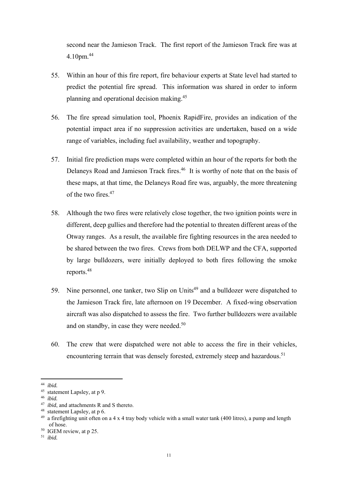second near the Jamieson Track. The first report of the Jamieson Track fire was at 4.10pm.<sup>44</sup>

- 55. Within an hour of this fire report, fire behaviour experts at State level had started to predict the potential fire spread. This information was shared in order to inform planning and operational decision making.45
- 56. The fire spread simulation tool, Phoenix RapidFire, provides an indication of the potential impact area if no suppression activities are undertaken, based on a wide range of variables, including fuel availability, weather and topography.
- 57. Initial fire prediction maps were completed within an hour of the reports for both the Delaneys Road and Jamieson Track fires.<sup>46</sup> It is worthy of note that on the basis of these maps, at that time, the Delaneys Road fire was, arguably, the more threatening of the two fires  $47$
- 58. Although the two fires were relatively close together, the two ignition points were in different, deep gullies and therefore had the potential to threaten different areas of the Otway ranges. As a result, the available fire fighting resources in the area needed to be shared between the two fires. Crews from both DELWP and the CFA, supported by large bulldozers, were initially deployed to both fires following the smoke reports.48
- 59. Nine personnel, one tanker, two Slip on Units<sup>49</sup> and a bulldozer were dispatched to the Jamieson Track fire, late afternoon on 19 December. A fixed-wing observation aircraft was also dispatched to assess the fire. Two further bulldozers were available and on standby, in case they were needed.<sup>50</sup>
- 60. The crew that were dispatched were not able to access the fire in their vehicles, encountering terrain that was densely forested, extremely steep and hazardous.<sup>51</sup>

 44 *ibid.*

<sup>45</sup> statement Lapsley, at p 9.

<sup>46</sup> *ibid.*

<sup>&</sup>lt;sup>47</sup> *ibid*, and attachments R and S thereto.

<sup>48</sup> statement Lapsley, at p 6.

 $49$  a firefighting unit often on a 4 x 4 tray body vehicle with a small water tank (400 litres), a pump and length of hose.

<sup>&</sup>lt;sup>50</sup> IGEM review, at p 25.

<sup>51</sup> *ibid.*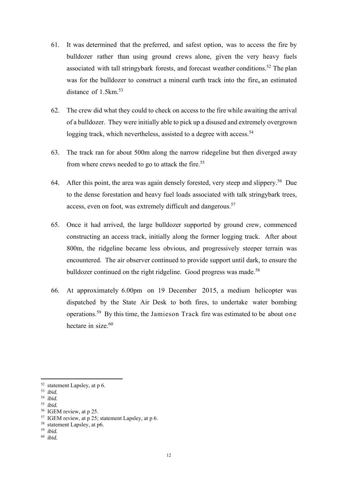- 61. It was determined that the preferred, and safest option, was to access the fire by bulldozer rather than using ground crews alone, given the very heavy fuels associated with tall stringybark forests, and forecast weather conditions.<sup>52</sup> The plan was for the bulldozer to construct a mineral earth track into the fire, an estimated distance of 1.5km.<sup>53</sup>
- 62. The crew did what they could to check on access to the fire while awaiting the arrival of a bulldozer. They were initially able to pick up a disused and extremely overgrown logging track, which nevertheless, assisted to a degree with access.<sup>54</sup>
- 63. The track ran for about 500m along the narrow ridegeline but then diverged away from where crews needed to go to attack the fire.<sup>55</sup>
- 64. After this point, the area was again densely forested, very steep and slippery.<sup>56</sup> Due to the dense forestation and heavy fuel loads associated with talk stringybark trees, access, even on foot, was extremely difficult and dangerous.<sup>57</sup>
- 65. Once it had arrived, the large bulldozer supported by ground crew, commenced constructing an access track, initially along the former logging track. After about 800m, the ridgeline became less obvious, and progressively steeper terrain was encountered. The air observer continued to provide support until dark, to ensure the bulldozer continued on the right ridgeline. Good progress was made.<sup>58</sup>
- 66. At approximately 6.00pm on 19 December 2015, a medium helicopter was dispatched by the State Air Desk to both fires, to undertake water bombing operations.59 By this time, the Jamieson Track fire was estimated to be about one hectare in size  $60$

- 54 *ibid.*
- 55 *ibid.*
- 56 IGEM review, at p 25.

- 58 statement Lapsley, at p6.
- 59 *ibid.*
- 60 *ibid.*

 $52$  statement Lapsley, at p 6.

<sup>53</sup> *ibid.*

<sup>57</sup> IGEM review, at p 25; statement Lapsley, at p 6.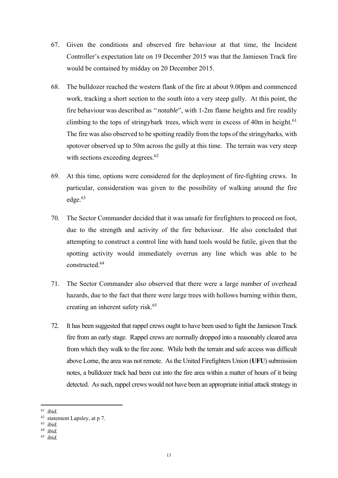- 67. Given the conditions and observed fire behaviour at that time, the Incident Controller's expectation late on 19 December 2015 was that the Jamieson Track fire would be contained by midday on 20 December 2015.
- 68. The bulldozer reached the western flank of the fire at about 9.00pm and commenced work, tracking a short section to the south into a very steep gully. At this point, the fire behaviour was described as "*notable*", with 1-2m flame heights and fire readily climbing to the tops of stringybark trees, which were in excess of 40m in height.<sup>61</sup> The fire was also observed to be spotting readily from the tops of the stringybarks, with spotover observed up to 50m across the gully at this time. The terrain was very steep with sections exceeding degrees. 62
- 69. At this time, options were considered for the deployment of fire-fighting crews. In particular, consideration was given to the possibility of walking around the fire edge.<sup>63</sup>
- 70. The Sector Commander decided that it was unsafe for firefighters to proceed on foot, due to the strength and activity of the fire behaviour. He also concluded that attempting to construct a control line with hand tools would be futile, given that the spotting activity would immediately overrun any line which was able to be constructed<sup>64</sup>
- 71. The Sector Commander also observed that there were a large number of overhead hazards, due to the fact that there were large trees with hollows burning within them, creating an inherent safety risk.<sup>65</sup>
- 72. It has been suggested that rappel crews ought to have been used to fight the Jamieson Track fire from an early stage. Rappel crews are normally dropped into a reasonably cleared area from which they walk to the fire zone. While both the terrain and safe access was difficult above Lorne, the area was not remote. As the United Firefighters Union (**UFU**) submission notes, a bulldozer track had been cut into the fire area within a matter of hours of it being detected. As such, rappel crews would not have been an appropriate initial attack strategy in

 61 *ibid.*

<sup>62</sup> statement Lapsley, at p 7.

<sup>63</sup> *ibid.* 

<sup>64</sup> *ibid.*

<sup>65</sup> *ibid.*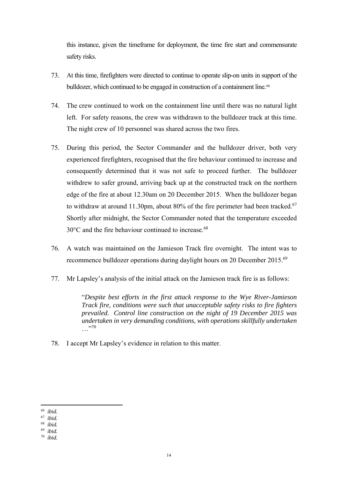this instance, given the timeframe for deployment, the time fire start and commensurate safety risks.

- 73. At this time, firefighters were directed to continue to operate slip-on units in support of the bulldozer, which continued to be engaged in construction of a containment line.<sup>66</sup>
- 74. The crew continued to work on the containment line until there was no natural light left. For safety reasons, the crew was withdrawn to the bulldozer track at this time. The night crew of 10 personnel was shared across the two fires.
- 75. During this period, the Sector Commander and the bulldozer driver, both very experienced firefighters, recognised that the fire behaviour continued to increase and consequently determined that it was not safe to proceed further. The bulldozer withdrew to safer ground, arriving back up at the constructed track on the northern edge of the fire at about 12.30am on 20 December 2015. When the bulldozer began to withdraw at around 11.30pm, about 80% of the fire perimeter had been tracked.<sup>67</sup> Shortly after midnight, the Sector Commander noted that the temperature exceeded 30°C and the fire behaviour continued to increase.<sup>68</sup>
- 76. A watch was maintained on the Jamieson Track fire overnight. The intent was to recommence bulldozer operations during daylight hours on 20 December 2015.<sup>69</sup>
- 77. Mr Lapsley's analysis of the initial attack on the Jamieson track fire is as follows:

"*Despite best efforts in the first attack response to the Wye River-Jamieson Track fire, conditions were such that unacceptable safety risks to fire fighters prevailed. Control line construction on the night of 19 December 2015 was undertaken in very demanding conditions, with operations skillfully undertaken*  …"<sup>70</sup>

78. I accept Mr Lapsley's evidence in relation to this matter.

 66 *ibid.*

<sup>67</sup> *ibid.* 

<sup>68</sup> *ibid.*

<sup>69</sup> *ibid.*

<sup>70</sup> *ibid.*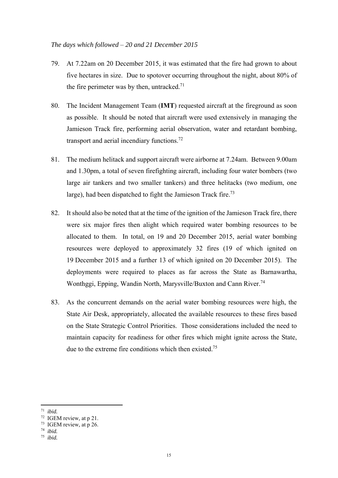#### *The days which followed* – *20 and 21 December 2015*

- 79. At 7.22am on 20 December 2015, it was estimated that the fire had grown to about five hectares in size. Due to spotover occurring throughout the night, about 80% of the fire perimeter was by then, untracked.<sup>71</sup>
- 80. The Incident Management Team (**IMT**) requested aircraft at the fireground as soon as possible. It should be noted that aircraft were used extensively in managing the Jamieson Track fire, performing aerial observation, water and retardant bombing, transport and aerial incendiary functions.72
- 81. The medium helitack and support aircraft were airborne at 7.24am. Between 9.00am and 1.30pm, a total of seven firefighting aircraft, including four water bombers (two large air tankers and two smaller tankers) and three helitacks (two medium, one large), had been dispatched to fight the Jamieson Track fire.<sup>73</sup>
- 82. It should also be noted that at the time of the ignition of the Jamieson Track fire, there were six major fires then alight which required water bombing resources to be allocated to them. In total, on 19 and 20 December 2015, aerial water bombing resources were deployed to approximately 32 fires (19 of which ignited on 19 December 2015 and a further 13 of which ignited on 20 December 2015). The deployments were required to places as far across the State as Barnawartha, Wonthggi, Epping, Wandin North, Marysville/Buxton and Cann River.<sup>74</sup>
- 83. As the concurrent demands on the aerial water bombing resources were high, the State Air Desk, appropriately, allocated the available resources to these fires based on the State Strategic Control Priorities. Those considerations included the need to maintain capacity for readiness for other fires which might ignite across the State, due to the extreme fire conditions which then existed.<sup>75</sup>

 71 *ibid.*

<sup>72</sup> IGEM review*,* at p 21.

<sup>73</sup> IGEM review*,* at p 26.

<sup>74</sup> *ibid.*

<sup>75</sup> *ibid.*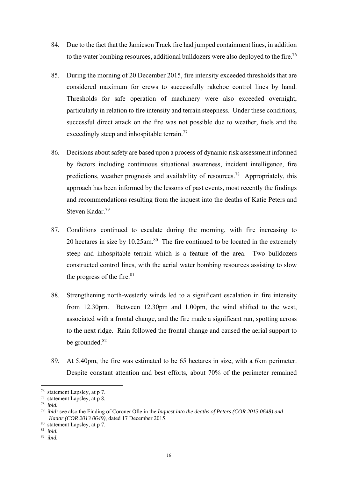- 84. Due to the fact that the Jamieson Track fire had jumped containment lines, in addition to the water bombing resources, additional bulldozers were also deployed to the fire.<sup>76</sup>
- 85. During the morning of 20 December 2015, fire intensity exceeded thresholds that are considered maximum for crews to successfully rakehoe control lines by hand. Thresholds for safe operation of machinery were also exceeded overnight, particularly in relation to fire intensity and terrain steepness. Under these conditions, successful direct attack on the fire was not possible due to weather, fuels and the exceedingly steep and inhospitable terrain.<sup>77</sup>
- 86. Decisions about safety are based upon a process of dynamic risk assessment informed by factors including continuous situational awareness, incident intelligence, fire predictions, weather prognosis and availability of resources.78 Appropriately, this approach has been informed by the lessons of past events, most recently the findings and recommendations resulting from the inquest into the deaths of Katie Peters and Steven Kadar.79
- 87. Conditions continued to escalate during the morning, with fire increasing to 20 hectares in size by  $10.25$ am.<sup>80</sup> The fire continued to be located in the extremely steep and inhospitable terrain which is a feature of the area. Two bulldozers constructed control lines, with the aerial water bombing resources assisting to slow the progress of the fire. $81$
- 88. Strengthening north-westerly winds led to a significant escalation in fire intensity from 12.30pm. Between 12.30pm and 1.00pm, the wind shifted to the west, associated with a frontal change, and the fire made a significant run, spotting across to the next ridge. Rain followed the frontal change and caused the aerial support to be grounded.<sup>82</sup>
- 89. At 5.40pm, the fire was estimated to be 65 hectares in size, with a 6km perimeter. Despite constant attention and best efforts, about 70% of the perimeter remained

78 *ibid.*

<sup>76</sup> statement Lapsley, at p 7.

<sup>77</sup> statement Lapsley, at p 8.

<sup>79</sup> *ibid;* see also the Finding of Coroner Olle in the *Inquest into the deaths of Peters (COR 2013 0648) and Kadar (COR 2013 0649)*, dated 17 December 2015.

<sup>80</sup> statement Lapsley, at p 7.

<sup>81</sup> *ibid.*

<sup>82</sup> *ibid.*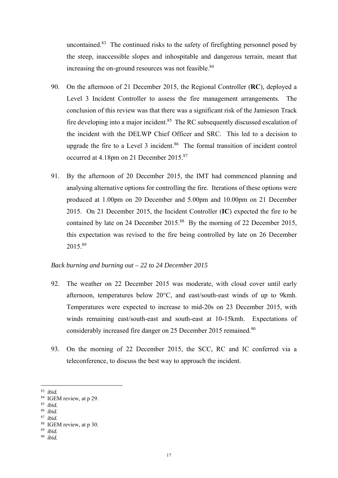uncontained. $83$  The continued risks to the safety of firefighting personnel posed by the steep, inaccessible slopes and inhospitable and dangerous terrain, meant that increasing the on-ground resources was not feasible.<sup>84</sup>

- 90. On the afternoon of 21 December 2015, the Regional Controller (**RC**), deployed a Level 3 Incident Controller to assess the fire management arrangements. The conclusion of this review was that there was a significant risk of the Jamieson Track fire developing into a major incident.<sup>85</sup> The RC subsequently discussed escalation of the incident with the DELWP Chief Officer and SRC. This led to a decision to upgrade the fire to a Level  $3$  incident.<sup>86</sup> The formal transition of incident control occurred at 4.18pm on 21 December 2015.87
- 91. By the afternoon of 20 December 2015, the IMT had commenced planning and analysing alternative options for controlling the fire. Iterations of these options were produced at 1.00pm on 20 December and 5.00pm and 10.00pm on 21 December 2015. On 21 December 2015, the Incident Controller (**IC**) expected the fire to be contained by late on 24 December 2015.<sup>88</sup> By the morning of 22 December 2015, this expectation was revised to the fire being controlled by late on 26 December 2015.89

## *Back burning and burning out – 22 to 24 December 2015*

- 92. The weather on 22 December 2015 was moderate, with cloud cover until early afternoon, temperatures below 20°C, and east/south-east winds of up to 9kmh. Temperatures were expected to increase to mid-20s on 23 December 2015, with winds remaining east/south-east and south-east at 10-15kmh. Expectations of considerably increased fire danger on 25 December 2015 remained.<sup>90</sup>
- 93. On the morning of 22 December 2015, the SCC, RC and IC conferred via a teleconference, to discuss the best way to approach the incident.
- 83 *ibid.*

<sup>86</sup>*ibid*. 87 *ibid.*

<sup>84</sup> IGEM review*,* at p 29.

<sup>85</sup> *ibid.*

<sup>88</sup> IGEM review*,* at p 30.

<sup>89</sup> *ibid.*

<sup>90</sup> *ibid.*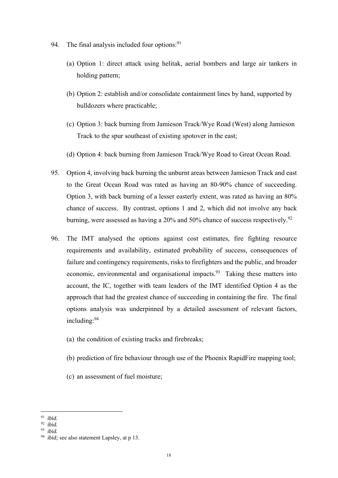- 94. The final analysis included four options:  $91$ 
	- (a) Option 1: direct attack using helitak, aerial bombers and large air tankers in holding pattern;
	- (b) Option 2: establish and/or consolidate containment lines by hand, supported by bulldozers where practicable;
	- (c) Option 3: back burning from Jamieson Track/Wye Road (West) along Jamieson Track to the spur southeast of existing spotover in the east;
	- (d) Option 4: back burning from Jamieson Track/Wye Road to Great Ocean Road.
- 95. Option 4, involving back burning the unburnt areas between Jamieson Track and east to the Great Ocean Road was rated as having an 80-90% chance of succeeding. Option 3, with back burning of a lesser easterly extent, was rated as having an 80% chance of success. By contrast, options 1 and 2, which did not involve any back burning, were assessed as having a 20% and 50% chance of success respectively.<sup>92</sup>
- 96. The IMT analysed the options against cost estimates, fire fighting resource requirements and availability, estimated probability of success, consequences of failure and contingency requirements, risks to firefighters and the public, and broader economic, environmental and organisational impacts.<sup>93</sup> Taking these matters into account, the IC, together with team leaders of the IMT identified Option 4 as the approach that had the greatest chance of succeeding in containing the fire. The final options analysis was underpinned by a detailed assessment of relevant factors, including:94
	- (a) the condition of existing tracks and firebreaks;
	- (b) prediction of fire behaviour through use of the Phoenix RapidFire mapping tool;
	- (c) an assessment of fuel moisture;

 91 *ibid.*

<sup>92</sup> *ibid.*

<sup>93</sup> *ibid.*

<sup>94</sup> *ibid;* see also statement Lapsley, at p 13.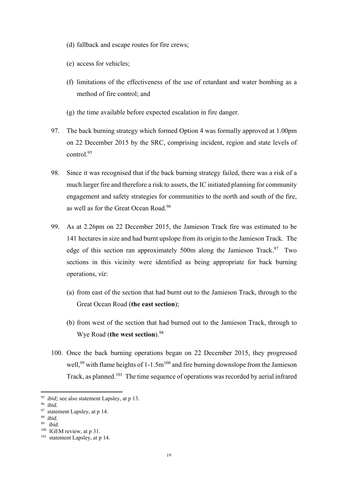- (d) fallback and escape routes for fire crews;
- (e) access for vehicles;
- (f) limitations of the effectiveness of the use of retardant and water bombing as a method of fire control; and
- (g) the time available before expected escalation in fire danger.
- 97. The back burning strategy which formed Option 4 was formally approved at 1.00pm on 22 December 2015 by the SRC, comprising incident, region and state levels of control.95
- 98. Since it was recognised that if the back burning strategy failed, there was a risk of a much larger fire and therefore a risk to assets, the IC initiated planning for community engagement and safety strategies for communities to the north and south of the fire, as well as for the Great Ocean Road.96
- 99. As at 2.26pm on 22 December 2015, the Jamieson Track fire was estimated to be 141 hectares in size and had burnt upslope from its origin to the Jamieson Track. The edge of this section ran approximately 500m along the Jamieson Track.<sup>97</sup> Two sections in this vicinity were identified as being appropriate for back burning operations, *viz*:
	- (a) from east of the section that had burnt out to the Jamieson Track, through to the Great Ocean Road (**the east section**);
	- (b) from west of the section that had burned out to the Jamieson Track, through to Wye Road (**the west section**).98
- 100. Once the back burning operations began on 22 December 2015, they progressed well,<sup>99</sup> with flame heights of 1-1.5 $m^{100}$  and fire burning downslope from the Jamieson Track, as planned.101 The time sequence of operations was recorded by aerial infrared

<sup>95</sup> *ibid;* see also statement Lapsley, at p 13.

<sup>96</sup> *ibid.*

<sup>97</sup> statement Lapsley, at p 14.

<sup>98</sup> *ibid.*

 $i$ *hid*.

<sup>&</sup>lt;sup>100</sup> IGEM review, at p 31.

<sup>&</sup>lt;sup>101</sup> statement Lapsley, at p 14.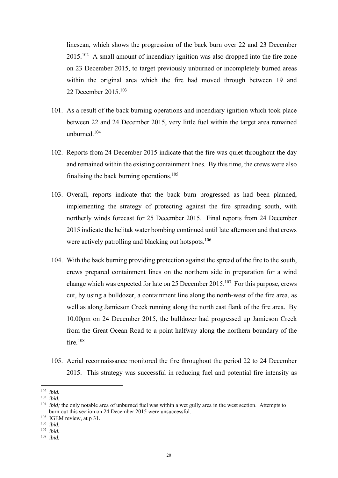linescan, which shows the progression of the back burn over 22 and 23 December 2015.102 A small amount of incendiary ignition was also dropped into the fire zone on 23 December 2015, to target previously unburned or incompletely burned areas within the original area which the fire had moved through between 19 and 22 December 2015.103

- 101. As a result of the back burning operations and incendiary ignition which took place between 22 and 24 December 2015, very little fuel within the target area remained unburned.104
- 102. Reports from 24 December 2015 indicate that the fire was quiet throughout the day and remained within the existing containment lines. By this time, the crews were also finalising the back burning operations.<sup>105</sup>
- 103. Overall, reports indicate that the back burn progressed as had been planned, implementing the strategy of protecting against the fire spreading south, with northerly winds forecast for 25 December 2015. Final reports from 24 December 2015 indicate the helitak water bombing continued until late afternoon and that crews were actively patrolling and blacking out hotspots.<sup>106</sup>
- 104. With the back burning providing protection against the spread of the fire to the south, crews prepared containment lines on the northern side in preparation for a wind change which was expected for late on 25 December  $2015$ .<sup>107</sup> For this purpose, crews cut, by using a bulldozer, a containment line along the north-west of the fire area, as well as along Jamieson Creek running along the north east flank of the fire area. By 10.00pm on 24 December 2015, the bulldozer had progressed up Jamieson Creek from the Great Ocean Road to a point halfway along the northern boundary of the fire.<sup>108</sup>
- 105. Aerial reconnaissance monitored the fire throughout the period 22 to 24 December 2015. This strategy was successful in reducing fuel and potential fire intensity as

<sup>102</sup> *ibid.*

<sup>103</sup> *ibid.*

<sup>104</sup> *ibid;* the only notable area of unburned fuel was within a wet gully area in the west section. Attempts to burn out this section on 24 December 2015 were unsuccessful.

<sup>&</sup>lt;sup>105</sup> IGEM review, at p 31.

<sup>106</sup> *ibid.*

<sup>107</sup> *ibid.*

<sup>108</sup> *ibid.*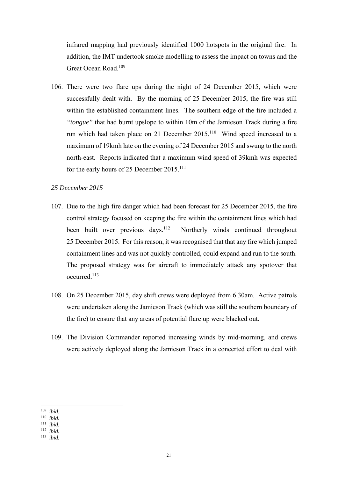infrared mapping had previously identified 1000 hotspots in the original fire. In addition, the IMT undertook smoke modelling to assess the impact on towns and the Great Ocean Road.109

106. There were two flare ups during the night of 24 December 2015, which were successfully dealt with. By the morning of 25 December 2015, the fire was still within the established containment lines. The southern edge of the fire included a *"tongue"* that had burnt upslope to within 10m of the Jamieson Track during a fire run which had taken place on 21 December 2015.<sup>110</sup> Wind speed increased to a maximum of 19kmh late on the evening of 24 December 2015 and swung to the north north-east. Reports indicated that a maximum wind speed of 39kmh was expected for the early hours of 25 December 2015.111

#### *25 December 2015*

- 107. Due to the high fire danger which had been forecast for 25 December 2015, the fire control strategy focused on keeping the fire within the containment lines which had been built over previous days.<sup>112</sup> Northerly winds continued throughout 25 December 2015. For this reason, it was recognised that that any fire which jumped containment lines and was not quickly controlled, could expand and run to the south. The proposed strategy was for aircraft to immediately attack any spotover that occurred.113
- 108. On 25 December 2015, day shift crews were deployed from 6.30am. Active patrols were undertaken along the Jamieson Track (which was still the southern boundary of the fire) to ensure that any areas of potential flare up were blacked out.
- 109. The Division Commander reported increasing winds by mid-morning, and crews were actively deployed along the Jamieson Track in a concerted effort to deal with

 109 *ibid.*

<sup>110</sup> *ibid.*

*ibid.* 

<sup>112</sup> *ibid.*

<sup>113</sup> *ibid.*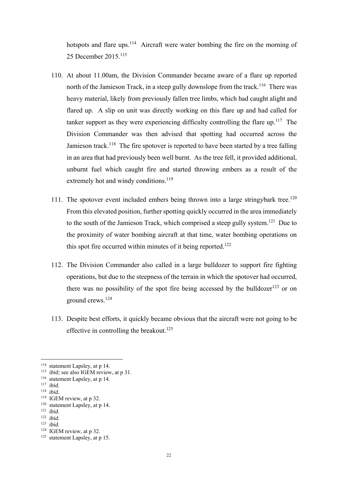hotspots and flare ups.<sup>114</sup> Aircraft were water bombing the fire on the morning of 25 December 2015<sup>115</sup>

- 110. At about 11.00am, the Division Commander became aware of a flare up reported north of the Jamieson Track, in a steep gully downslope from the track.<sup>116</sup> There was heavy material, likely from previously fallen tree limbs, which had caught alight and flared up. A slip on unit was directly working on this flare up and had called for tanker support as they were experiencing difficulty controlling the flare up.<sup>117</sup> The Division Commander was then advised that spotting had occurred across the Jamieson track.<sup>118</sup> The fire spotover is reported to have been started by a tree falling in an area that had previously been well burnt. As the tree fell, it provided additional, unburnt fuel which caught fire and started throwing embers as a result of the extremely hot and windy conditions. $119$
- 111. The spotover event included embers being thrown into a large stringybark tree.<sup>120</sup> From this elevated position, further spotting quickly occurred in the area immediately to the south of the Jamieson Track, which comprised a steep gully system.<sup>121</sup> Due to the proximity of water bombing aircraft at that time, water bombing operations on this spot fire occurred within minutes of it being reported.<sup>122</sup>
- 112. The Division Commander also called in a large bulldozer to support fire fighting operations, but due to the steepness of the terrain in which the spotover had occurred, there was no possibility of the spot fire being accessed by the bulldozer $123$  or on ground crews.124
- 113. Despite best efforts, it quickly became obvious that the aircraft were not going to be effective in controlling the breakout.<sup>125</sup>

<sup>&</sup>lt;sup>114</sup> statement Lapsley, at p 14.

<sup>&</sup>lt;sup>115</sup> *ibid*; see also IGEM review, at p 31.

<sup>116</sup> statement Lapsley, at p 14.

<sup>117</sup> *ibid.*

<sup>118</sup> *ibid.*

<sup>&</sup>lt;sup>119</sup> IGEM review, at p 32.

<sup>120</sup> statement Lapsley, at p 14. 121 *ibid.*

<sup>122</sup> *ibid.*

<sup>123</sup> *ibid.*

<sup>&</sup>lt;sup>124</sup> IGEM review, at p 32.

<sup>125</sup> statement Lapsley, at p 15.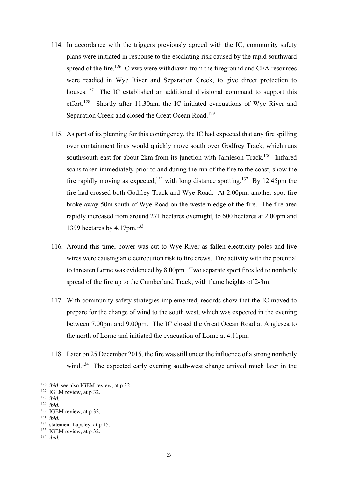- 114. In accordance with the triggers previously agreed with the IC, community safety plans were initiated in response to the escalating risk caused by the rapid southward spread of the fire.<sup>126</sup> Crews were withdrawn from the fireground and CFA resources were readied in Wye River and Separation Creek, to give direct protection to houses.<sup>127</sup> The IC established an additional divisional command to support this effort.128 Shortly after 11.30am, the IC initiated evacuations of Wye River and Separation Creek and closed the Great Ocean Road.<sup>129</sup>
- 115. As part of its planning for this contingency, the IC had expected that any fire spilling over containment lines would quickly move south over Godfrey Track, which runs south/south-east for about 2km from its junction with Jamieson Track.<sup>130</sup> Infrared scans taken immediately prior to and during the run of the fire to the coast, show the fire rapidly moving as expected,<sup>131</sup> with long distance spotting.<sup>132</sup> By 12.45pm the fire had crossed both Godfrey Track and Wye Road. At 2.00pm, another spot fire broke away 50m south of Wye Road on the western edge of the fire. The fire area rapidly increased from around 271 hectares overnight, to 600 hectares at 2.00pm and 1399 hectares by 4.17pm.<sup>133</sup>
- 116. Around this time, power was cut to Wye River as fallen electricity poles and live wires were causing an electrocution risk to fire crews. Fire activity with the potential to threaten Lorne was evidenced by 8.00pm. Two separate sport fires led to northerly spread of the fire up to the Cumberland Track, with flame heights of 2-3m.
- 117. With community safety strategies implemented, records show that the IC moved to prepare for the change of wind to the south west, which was expected in the evening between 7.00pm and 9.00pm. The IC closed the Great Ocean Road at Anglesea to the north of Lorne and initiated the evacuation of Lorne at 4.11pm.
- 118. Later on 25 December 2015, the fire was still under the influence of a strong northerly wind.<sup>134</sup> The expected early evening south-west change arrived much later in the

129 *ibid.*

<sup>126</sup> *ibid*; see also IGEM review, at p 32.

<sup>&</sup>lt;sup>127</sup> IGEM review, at p 32.

<sup>128</sup> *ibid.*

<sup>&</sup>lt;sup>130</sup> IGEM review, at p 32.

<sup>131</sup> *ibid.*

<sup>132</sup> statement Lapsley, at p 15.

<sup>&</sup>lt;sup>133</sup> IGEM review, at p 32.

<sup>134</sup> *ibid.*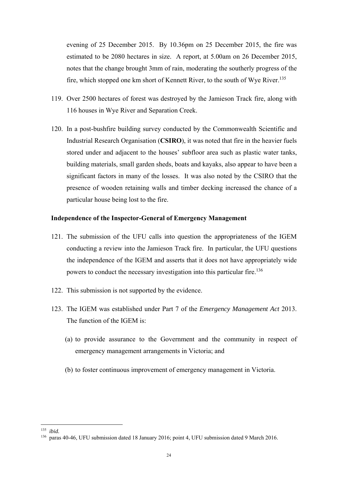evening of 25 December 2015. By 10.36pm on 25 December 2015, the fire was estimated to be 2080 hectares in size. A report, at 5.00am on 26 December 2015, notes that the change brought 3mm of rain, moderating the southerly progress of the fire, which stopped one km short of Kennett River, to the south of Wye River.135

- 119. Over 2500 hectares of forest was destroyed by the Jamieson Track fire, along with 116 houses in Wye River and Separation Creek.
- 120. In a post-bushfire building survey conducted by the Commonwealth Scientific and Industrial Research Organisation (**CSIRO**), it was noted that fire in the heavier fuels stored under and adjacent to the houses' subfloor area such as plastic water tanks, building materials, small garden sheds, boats and kayaks, also appear to have been a significant factors in many of the losses. It was also noted by the CSIRO that the presence of wooden retaining walls and timber decking increased the chance of a particular house being lost to the fire.

#### **Independence of the Inspector-General of Emergency Management**

- 121. The submission of the UFU calls into question the appropriateness of the IGEM conducting a review into the Jamieson Track fire. In particular, the UFU questions the independence of the IGEM and asserts that it does not have appropriately wide powers to conduct the necessary investigation into this particular fire.136
- 122. This submission is not supported by the evidence.
- 123. The IGEM was established under Part 7 of the *Emergency Management Act* 2013. The function of the IGEM is:
	- (a) to provide assurance to the Government and the community in respect of emergency management arrangements in Victoria; and
	- (b) to foster continuous improvement of emergency management in Victoria.

 135 *ibid.*

<sup>136</sup> paras 40-46, UFU submission dated 18 January 2016; point 4, UFU submission dated 9 March 2016.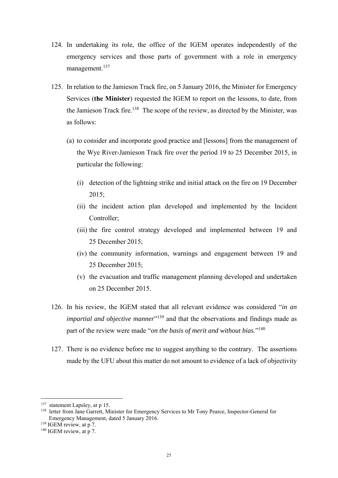- 124. In undertaking its role, the office of the IGEM operates independently of the emergency services and those parts of government with a role in emergency management.<sup>137</sup>
- 125. In relation to the Jamieson Track fire, on 5 January 2016, the Minister for Emergency Services (**the Minister**) requested the IGEM to report on the lessons, to date, from the Jamieson Track fire.<sup>138</sup> The scope of the review, as directed by the Minister, was as follows:
	- (a) to consider and incorporate good practice and [lessons] from the management of the Wye River-Jamieson Track fire over the period 19 to 25 December 2015, in particular the following:
		- (i) detection of the lightning strike and initial attack on the fire on 19 December 2015;
		- (ii) the incident action plan developed and implemented by the Incident Controller;
		- (iii) the fire control strategy developed and implemented between 19 and 25 December 2015;
		- (iv) the community information, warnings and engagement between 19 and 25 December 2015;
		- (v) the evacuation and traffic management planning developed and undertaken on 25 December 2015.
- 126. In his review, the IGEM stated that all relevant evidence was considered "*in an impartial and objective manner*<sup>"139</sup> and that the observations and findings made as part of the review were made "*on the basis of merit and without bias*."140
- 127. There is no evidence before me to suggest anything to the contrary. The assertions made by the UFU about this matter do not amount to evidence of a lack of objectivity

<sup>137</sup> statement Lapsley, at p 15.

<sup>&</sup>lt;sup>138</sup> letter from Jane Garrett, Minister for Emergency Services to Mr Tony Pearce, Inspector-General for Emergency Management, dated 5 January 2016.

<sup>&</sup>lt;sup>139</sup> IGEM review, at p 7.

<sup>&</sup>lt;sup>140</sup> IGEM review, at p 7.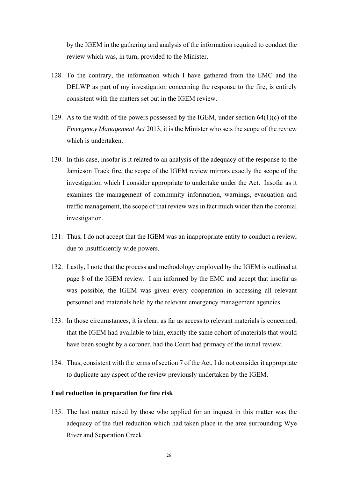by the IGEM in the gathering and analysis of the information required to conduct the review which was, in turn, provided to the Minister.

- 128. To the contrary, the information which I have gathered from the EMC and the DELWP as part of my investigation concerning the response to the fire, is entirely consistent with the matters set out in the IGEM review.
- 129. As to the width of the powers possessed by the IGEM, under section  $64(1)(c)$  of the *Emergency Management Act* 2013, it is the Minister who sets the scope of the review which is undertaken.
- 130. In this case, insofar is it related to an analysis of the adequacy of the response to the Jamieson Track fire, the scope of the IGEM review mirrors exactly the scope of the investigation which I consider appropriate to undertake under the Act. Insofar as it examines the management of community information, warnings, evacuation and traffic management, the scope of that review was in fact much wider than the coronial investigation.
- 131. Thus, I do not accept that the IGEM was an inappropriate entity to conduct a review, due to insufficiently wide powers.
- 132. Lastly, I note that the process and methodology employed by the IGEM is outlined at page 8 of the IGEM review. I am informed by the EMC and accept that insofar as was possible, the IGEM was given every cooperation in accessing all relevant personnel and materials held by the relevant emergency management agencies.
- 133. In those circumstances, it is clear, as far as access to relevant materials is concerned, that the IGEM had available to him, exactly the same cohort of materials that would have been sought by a coroner, had the Court had primacy of the initial review.
- 134. Thus, consistent with the terms of section 7 of the Act, I do not consider it appropriate to duplicate any aspect of the review previously undertaken by the IGEM.

#### **Fuel reduction in preparation for fire risk**

135. The last matter raised by those who applied for an inquest in this matter was the adequacy of the fuel reduction which had taken place in the area surrounding Wye River and Separation Creek.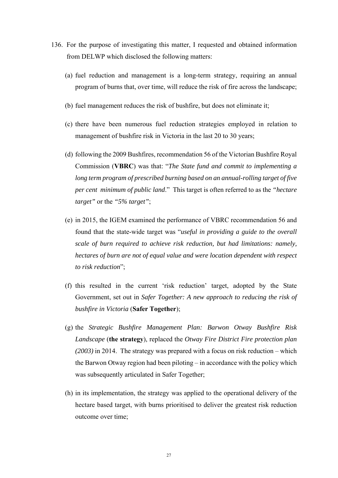- 136. For the purpose of investigating this matter, I requested and obtained information from DELWP which disclosed the following matters:
	- (a) fuel reduction and management is a long-term strategy, requiring an annual program of burns that, over time, will reduce the risk of fire across the landscape;
	- (b) fuel management reduces the risk of bushfire, but does not eliminate it;
	- (c) there have been numerous fuel reduction strategies employed in relation to management of bushfire risk in Victoria in the last 20 to 30 years;
	- (d) following the 2009 Bushfires, recommendation 56 of the Victorian Bushfire Royal Commission (**VBRC**) was that: "*The State fund and commit to implementing a long term program of prescribed burning based on an annual-rolling target of five per cent minimum of public land*." This target is often referred to as the *"hectare target"* or the *"5% target"*;
	- (e) in 2015, the IGEM examined the performance of VBRC recommendation 56 and found that the state-wide target was "*useful in providing a guide to the overall scale of burn required to achieve risk reduction, but had limitations: namely, hectares of burn are not of equal value and were location dependent with respect to risk reduction*";
	- (f) this resulted in the current 'risk reduction' target, adopted by the State Government, set out in *Safer Together: A new approach to reducing the risk of bushfire in Victoria* (**Safer Together**);
	- (g) the *Strategic Bushfire Management Plan: Barwon Otway Bushfire Risk Landscape* (**the strategy**), replaced the *Otway Fire District Fire protection plan (2003)* in 2014. The strategy was prepared with a focus on risk reduction – which the Barwon Otway region had been piloting – in accordance with the policy which was subsequently articulated in Safer Together;
	- (h) in its implementation, the strategy was applied to the operational delivery of the hectare based target, with burns prioritised to deliver the greatest risk reduction outcome over time;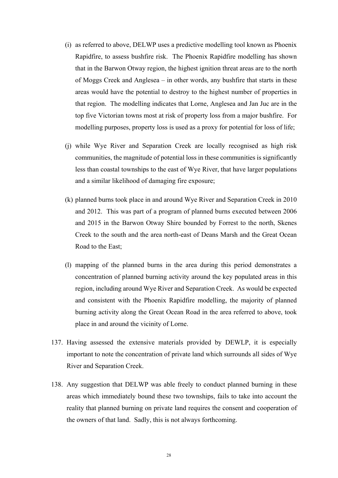- (i) as referred to above, DELWP uses a predictive modelling tool known as Phoenix Rapidfire, to assess bushfire risk. The Phoenix Rapidfire modelling has shown that in the Barwon Otway region, the highest ignition threat areas are to the north of Moggs Creek and Anglesea – in other words, any bushfire that starts in these areas would have the potential to destroy to the highest number of properties in that region. The modelling indicates that Lorne, Anglesea and Jan Juc are in the top five Victorian towns most at risk of property loss from a major bushfire. For modelling purposes, property loss is used as a proxy for potential for loss of life;
- (j) while Wye River and Separation Creek are locally recognised as high risk communities, the magnitude of potential loss in these communities is significantly less than coastal townships to the east of Wye River, that have larger populations and a similar likelihood of damaging fire exposure;
- (k) planned burns took place in and around Wye River and Separation Creek in 2010 and 2012. This was part of a program of planned burns executed between 2006 and 2015 in the Barwon Otway Shire bounded by Forrest to the north, Skenes Creek to the south and the area north-east of Deans Marsh and the Great Ocean Road to the East;
- (l) mapping of the planned burns in the area during this period demonstrates a concentration of planned burning activity around the key populated areas in this region, including around Wye River and Separation Creek. As would be expected and consistent with the Phoenix Rapidfire modelling, the majority of planned burning activity along the Great Ocean Road in the area referred to above, took place in and around the vicinity of Lorne.
- 137. Having assessed the extensive materials provided by DEWLP, it is especially important to note the concentration of private land which surrounds all sides of Wye River and Separation Creek.
- 138. Any suggestion that DELWP was able freely to conduct planned burning in these areas which immediately bound these two townships, fails to take into account the reality that planned burning on private land requires the consent and cooperation of the owners of that land. Sadly, this is not always forthcoming.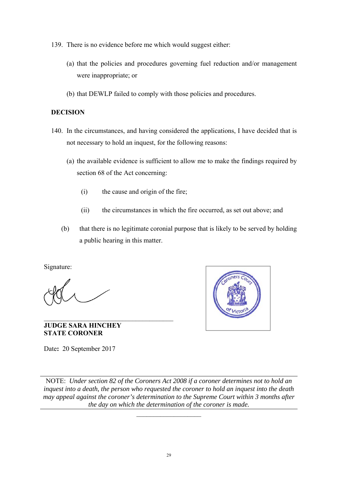139. There is no evidence before me which would suggest either:

- (a) that the policies and procedures governing fuel reduction and/or management were inappropriate; or
- (b) that DEWLP failed to comply with those policies and procedures.

## **DECISION**

- 140. In the circumstances, and having considered the applications, I have decided that is not necessary to hold an inquest, for the following reasons:
	- (a) the available evidence is sufficient to allow me to make the findings required by section 68 of the Act concerning:
		- (i) the cause and origin of the fire;
		- (ii) the circumstances in which the fire occurred, as set out above; and
	- (b) that there is no legitimate coronial purpose that is likely to be served by holding a public hearing in this matter.

Signature:



**JUDGE SARA HINCHEY STATE CORONER**

 $\mathcal{L}_\text{max}$ 

Date**:** 20 September 2017

NOTE: *Under section 82 of the Coroners Act 2008 if a coroner determines not to hold an inquest into a death, the person who requested the coroner to hold an inquest into the death may appeal against the coroner's determination to the Supreme Court within 3 months after the day on which the determination of the coroner is made.* 

 $\frac{1}{2}$  ,  $\frac{1}{2}$  ,  $\frac{1}{2}$  ,  $\frac{1}{2}$  ,  $\frac{1}{2}$  ,  $\frac{1}{2}$  ,  $\frac{1}{2}$  ,  $\frac{1}{2}$  ,  $\frac{1}{2}$  ,  $\frac{1}{2}$